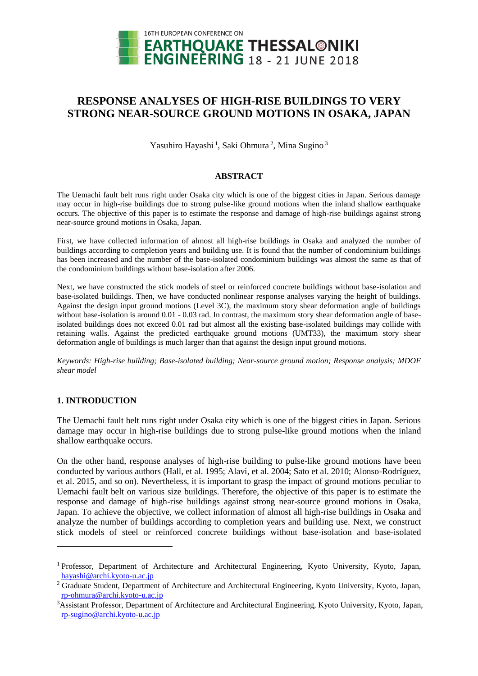

# **RESPONSE ANALYSES OF HIGH-RISE BUILDINGS TO VERY STRONG NEAR-SOURCE GROUND MOTIONS IN OSAKA, JAPAN**

Yasuhiro Hayashi<sup>1</sup>, Saki Ohmura<sup>2</sup>, Mina Sugino<sup>3</sup>

## **ABSTRACT**

The Uemachi fault belt runs right under Osaka city which is one of the biggest cities in Japan. Serious damage may occur in high-rise buildings due to strong pulse-like ground motions when the inland shallow earthquake occurs. The objective of this paper is to estimate the response and damage of high-rise buildings against strong near-source ground motions in Osaka, Japan.

First, we have collected information of almost all high-rise buildings in Osaka and analyzed the number of buildings according to completion years and building use. It is found that the number of condominium buildings has been increased and the number of the base-isolated condominium buildings was almost the same as that of the condominium buildings without base-isolation after 2006.

Next, we have constructed the stick models of steel or reinforced concrete buildings without base-isolation and base-isolated buildings. Then, we have conducted nonlinear response analyses varying the height of buildings. Against the design input ground motions (Level 3C), the maximum story shear deformation angle of buildings without base-isolation is around 0.01 - 0.03 rad. In contrast, the maximum story shear deformation angle of baseisolated buildings does not exceed 0.01 rad but almost all the existing base-isolated buildings may collide with retaining walls. Against the predicted earthquake ground motions (UMT33), the maximum story shear deformation angle of buildings is much larger than that against the design input ground motions.

*Keywords: High-rise building; Base-isolated building; Near-source ground motion; Response analysis; MDOF shear model*

# **1. INTRODUCTION**

l

The Uemachi fault belt runs right under Osaka city which is one of the biggest cities in Japan. Serious damage may occur in high-rise buildings due to strong pulse-like ground motions when the inland shallow earthquake occurs.

On the other hand, response analyses of high-rise building to pulse-like ground motions have been conducted by various authors (Hall, et al. 1995; Alavi, et al. 2004; Sato et al. 2010; Alonso-Rodríguez, et al. 2015, and so on). Nevertheless, it is important to grasp the impact of ground motions peculiar to Uemachi fault belt on various size buildings. Therefore, the objective of this paper is to estimate the response and damage of high-rise buildings against strong near-source ground motions in Osaka, Japan. To achieve the objective, we collect information of almost all high-rise buildings in Osaka and analyze the number of buildings according to completion years and building use. Next, we construct stick models of steel or reinforced concrete buildings without base-isolation and base-isolated

<sup>&</sup>lt;sup>1</sup> Professor, Department of Architecture and Architectural Engineering, Kyoto University, Kyoto, Japan, [hayashi@archi.kyoto-u.ac.jp](mailto:hayashi@archi.kyoto-u.ac.jp)

<sup>&</sup>lt;sup>2</sup> Graduate Student, Department of Architecture and Architectural Engineering, Kyoto University, Kyoto, Japan, [rp-ohmura@archi.kyoto-u.ac.jp](mailto:rp-ohmura@archi.kyoto-u.ac.jp)

<sup>3</sup>Assistant Professor, Department of Architecture and Architectural Engineering, Kyoto University, Kyoto, Japan, [rp-sugino@archi.kyoto-u.ac.jp](mailto:rp-sugino@archi.kyoto-u.ac.jp)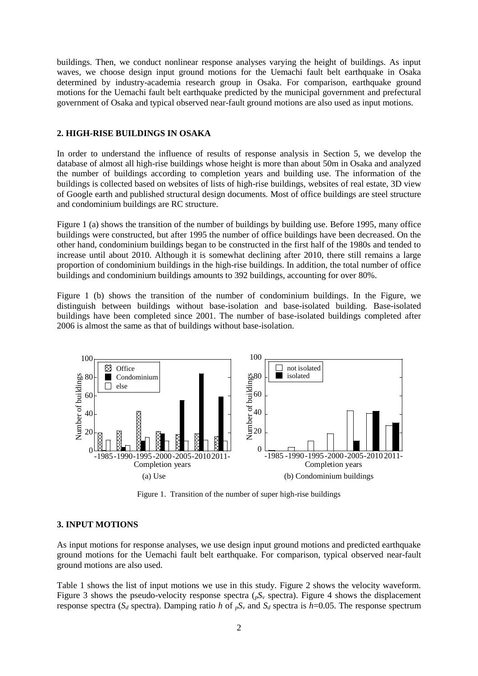buildings. Then, we conduct nonlinear response analyses varying the height of buildings. As input waves, we choose design input ground motions for the Uemachi fault belt earthquake in Osaka determined by industry-academia research group in Osaka. For comparison, earthquake ground motions for the Uemachi fault belt earthquake predicted by the municipal government and prefectural government of Osaka and typical observed near-fault ground motions are also used as input motions.

### **2. HIGH-RISE BUILDINGS IN OSAKA**

In order to understand the influence of results of response analysis in Section 5, we develop the database of almost all high-rise buildings whose height is more than about 50m in Osaka and analyzed the number of buildings according to completion years and building use. The information of the buildings is collected based on websites of lists of high-rise buildings, websites of real estate, 3D view of Google earth and published structural design documents. Most of office buildings are steel structure and condominium buildings are RC structure.

Figure 1 (a) shows the transition of the number of buildings by building use. Before 1995, many office buildings were constructed, but after 1995 the number of office buildings have been decreased. On the other hand, condominium buildings began to be constructed in the first half of the 1980s and tended to increase until about 2010. Although it is somewhat declining after 2010, there still remains a large proportion of condominium buildings in the high-rise buildings. In addition, the total number of office buildings and condominium buildings amounts to 392 buildings, accounting for over 80%.

Figure 1 (b) shows the transition of the number of condominium buildings. In the Figure, we distinguish between buildings without base-isolation and base-isolated building. Base-isolated buildings have been completed since 2001. The number of base-isolated buildings completed after 2006 is almost the same as that of buildings without base-isolation.



Figure 1. Transition of the number of super high-rise buildings

#### **3. INPUT MOTIONS**

As input motions for response analyses, we use design input ground motions and predicted earthquake ground motions for the Uemachi fault belt earthquake. For comparison, typical observed near-fault ground motions are also used.

Table 1 shows the list of input motions we use in this study. Figure 2 shows the velocity waveform. Figure 3 shows the pseudo-velocity response spectra ( $pS<sub>v</sub>$  spectra). Figure 4 shows the displacement response spectra ( $S_d$  spectra). Damping ratio *h* of  $pS_v$  and  $S_d$  spectra is *h*=0.05. The response spectrum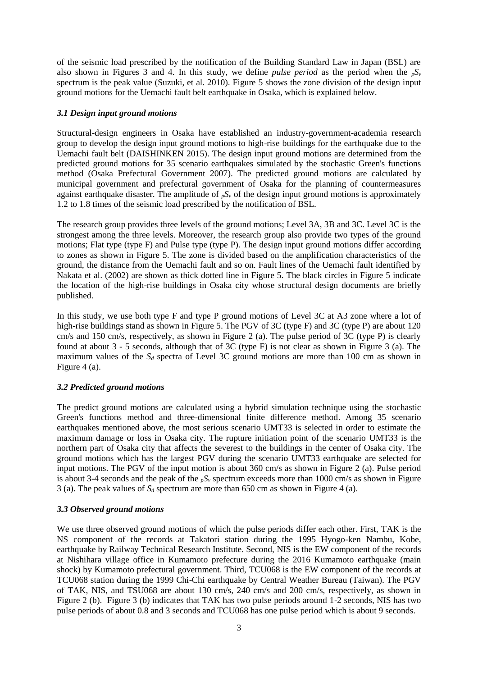of the seismic load prescribed by the notification of the Building Standard Law in Japan (BSL) are also shown in Figures 3 and 4. In this study, we define *pulse period* as the period when the  $nS_v$ spectrum is the peak value (Suzuki, et al. 2010). Figure 5 shows the zone division of the design input ground motions for the Uemachi fault belt earthquake in Osaka, which is explained below.

# *3.1 Design input ground motions*

Structural-design engineers in Osaka have established an industry-government-academia research group to develop the design input ground motions to high-rise buildings for the earthquake due to the Uemachi fault belt (DAISHINKEN 2015). The design input ground motions are determined from the predicted ground motions for 35 scenario earthquakes simulated by the stochastic Green's functions method (Osaka Prefectural Government 2007). The predicted ground motions are calculated by municipal government and prefectural government of Osaka for the planning of countermeasures against earthquake disaster. The amplitude of  $pS<sub>v</sub>$  of the design input ground motions is approximately 1.2 to 1.8 times of the seismic load prescribed by the notification of BSL.

The research group provides three levels of the ground motions; Level 3A, 3B and 3C. Level 3C is the strongest among the three levels. Moreover, the research group also provide two types of the ground motions; Flat type (type F) and Pulse type (type P). The design input ground motions differ according to zones as shown in Figure 5. The zone is divided based on the amplification characteristics of the ground, the distance from the Uemachi fault and so on. Fault lines of the Uemachi fault identified by Nakata et al. (2002) are shown as thick dotted line in Figure 5. The black circles in Figure 5 indicate the location of the high-rise buildings in Osaka city whose structural design documents are briefly published.

In this study, we use both type F and type P ground motions of Level 3C at A3 zone where a lot of high-rise buildings stand as shown in Figure 5. The PGV of 3C (type F) and 3C (type P) are about 120 cm/s and 150 cm/s, respectively, as shown in Figure 2 (a). The pulse period of 3C (type P) is clearly found at about 3 - 5 seconds, although that of 3C (type F) is not clear as shown in Figure 3 (a). The maximum values of the *S<sup>d</sup>* spectra of Level 3C ground motions are more than 100 cm as shown in Figure 4 (a).

# *3.2 Predicted ground motions*

The predict ground motions are calculated using a hybrid simulation technique using the stochastic Green's functions method and three-dimensional finite difference method. Among 35 scenario earthquakes mentioned above, the most serious scenario UMT33 is selected in order to estimate the maximum damage or loss in Osaka city. The rupture initiation point of the scenario UMT33 is the northern part of Osaka city that affects the severest to the buildings in the center of Osaka city. The ground motions which has the largest PGV during the scenario UMT33 earthquake are selected for input motions. The PGV of the input motion is about 360 cm/s as shown in Figure 2 (a). Pulse period is about 3-4 seconds and the peak of the  $pS_v$  spectrum exceeds more than 1000 cm/s as shown in Figure 3 (a). The peak values of  $S_d$  spectrum are more than 650 cm as shown in Figure 4 (a).

# *3.3 Observed ground motions*

We use three observed ground motions of which the pulse periods differ each other. First, TAK is the NS component of the records at Takatori station during the 1995 Hyogo-ken Nambu, Kobe, earthquake by Railway Technical Research Institute. Second, NIS is the EW component of the records at Nishihara village office in Kumamoto prefecture during the 2016 Kumamoto earthquake (main shock) by Kumamoto prefectural government. Third, TCU068 is the EW component of the records at TCU068 station during the 1999 Chi-Chi earthquake by Central Weather Bureau (Taiwan). The PGV of TAK, NIS, and TSU068 are about 130 cm/s, 240 cm/s and 200 cm/s, respectively, as shown in Figure 2 (b). Figure 3 (b) indicates that TAK has two pulse periods around 1-2 seconds, NIS has two pulse periods of about 0.8 and 3 seconds and TCU068 has one pulse period which is about 9 seconds.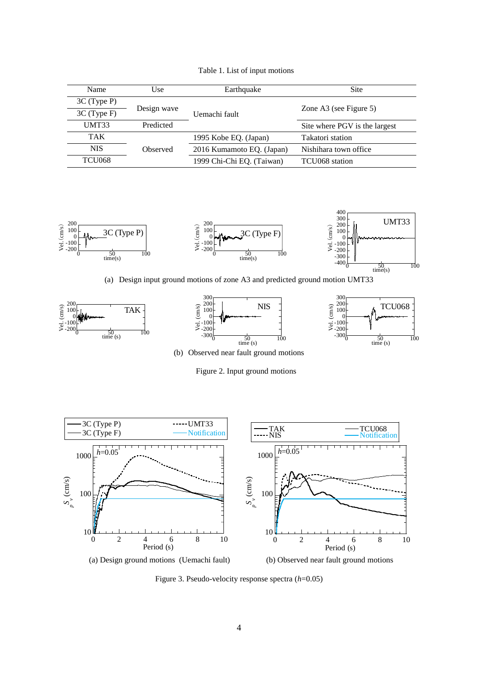| Name          | Use         | Site<br>Earthquake        |                               |
|---------------|-------------|---------------------------|-------------------------------|
| $3C$ (Type P) |             |                           |                               |
| $3C$ (Type F) | Design wave | Uemachi fault             | Zone A3 (see Figure 5)        |
| <b>UMT33</b>  | Predicted   |                           | Site where PGV is the largest |
| <b>TAK</b>    |             | 1995 Kobe EQ. (Japan)     | Takatori station              |
| <b>NIS</b>    | Observed    | 2016 Kumamoto EQ. (Japan) | Nishihara town office         |
| <b>TCU068</b> |             | 1999 Chi-Chi EQ. (Taiwan) | TCU068 station                |

Table 1. List of input motions



(a) Design input ground motions of zone A3 and predicted ground motion UMT33



(b) Observed near fault ground motions

Figure 2. Input ground motions



Figure 3. Pseudo-velocity response spectra (*h*=0.05)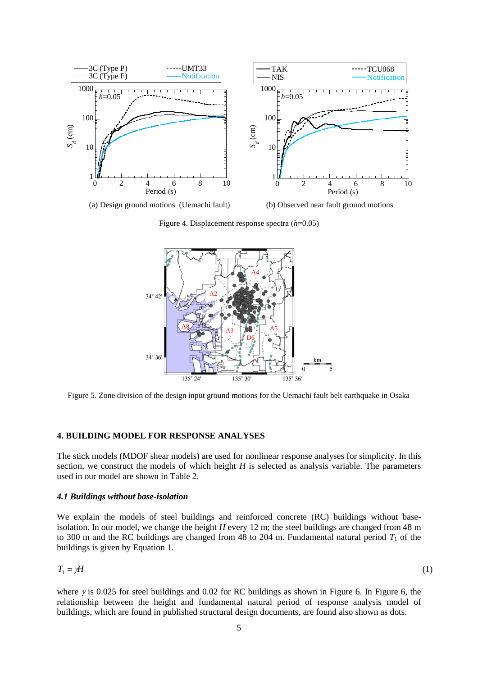

Figure 4. Displacement response spectra (*h*=0.05)



Figure 5. Zone division of the design input ground motions for the Uemachi fault belt earthquake in Osaka

# **4. BUILDING MODEL FOR RESPONSE ANALYSES**

The stick models (MDOF shear models) are used for nonlinear response analyses for simplicity. In this section, we construct the models of which height *H* is selected as analysis variable. The parameters used in our model are shown in Table 2.

## *4.1 Buildings without base-isolation*

We explain the models of steel buildings and reinforced concrete (RC) buildings without baseisolation. In our model, we change the height *H* every 12 m; the steel buildings are changed from 48 m to 300 m and the RC buildings are changed from 48 to 204 m. Fundamental natural period  $T_1$  of the buildings is given by Equation 1.

$$
T_1 = \gamma H
$$

(1)

where  $\gamma$  is 0.025 for steel buildings and 0.02 for RC buildings as shown in Figure 6. In Figure 6, the relationship between the height and fundamental natural period of response analysis model of buildings, which are found in published structural design documents, are found also shown as dots.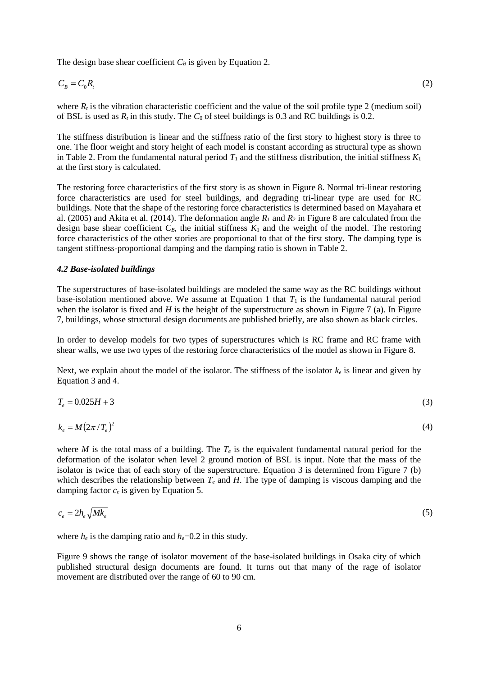The design base shear coefficient  $C_B$  is given by Equation 2.

$$
C_B = C_0 R_t \tag{2}
$$

where  $R_t$  is the vibration characteristic coefficient and the value of the soil profile type 2 (medium soil) of BSL is used as  $R_t$  in this study. The  $C_0$  of steel buildings is 0.3 and RC buildings is 0.2.

The stiffness distribution is linear and the stiffness ratio of the first story to highest story is three to one. The floor weight and story height of each model is constant according as structural type as shown in Table 2. From the fundamental natural period  $T_1$  and the stiffness distribution, the initial stiffness  $K_1$ at the first story is calculated.

The restoring force characteristics of the first story is as shown in Figure 8. Normal tri-linear restoring force characteristics are used for steel buildings, and degrading tri-linear type are used for RC buildings. Note that the shape of the restoring force characteristics is determined based on Mayahara et al. (2005) and Akita et al. (2014). The deformation angle  $R_1$  and  $R_2$  in Figure 8 are calculated from the design base shear coefficient  $C_B$ , the initial stiffness  $K_1$  and the weight of the model. The restoring force characteristics of the other stories are proportional to that of the first story. The damping type is tangent stiffness-proportional damping and the damping ratio is shown in Table 2.

#### *4.2 Base-isolated buildings*

The superstructures of base-isolated buildings are modeled the same way as the RC buildings without base-isolation mentioned above. We assume at Equation 1 that  $T_1$  is the fundamental natural period when the isolator is fixed and  $H$  is the height of the superstructure as shown in Figure 7 (a). In Figure 7, buildings, whose structural design documents are published briefly, are also shown as black circles.

In order to develop models for two types of superstructures which is RC frame and RC frame with shear walls, we use two types of the restoring force characteristics of the model as shown in Figure 8.

Next, we explain about the model of the isolator. The stiffness of the isolator  $k_e$  is linear and given by Equation 3 and 4.

$$
T_e = 0.025H + 3\tag{3}
$$

$$
k_e = M \left( 2\pi / T_e \right)^2 \tag{4}
$$

where *M* is the total mass of a building. The  $T_e$  is the equivalent fundamental natural period for the deformation of the isolator when level 2 ground motion of BSL is input. Note that the mass of the isolator is twice that of each story of the superstructure. Equation 3 is determined from Figure 7 (b) which describes the relationship between  $T_e$  and *H*. The type of damping is viscous damping and the damping factor  $c_e$  is given by Equation 5.

$$
c_e = 2h_e \sqrt{Mk_e} \tag{5}
$$

where  $h_e$  is the damping ratio and  $h_e$ =0.2 in this study.

Figure 9 shows the range of isolator movement of the base-isolated buildings in Osaka city of which published structural design documents are found. It turns out that many of the rage of isolator movement are distributed over the range of 60 to 90 cm.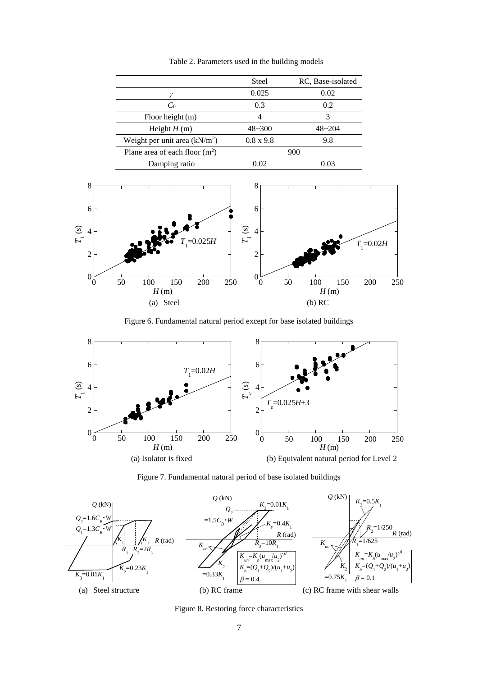Table 2. Parameters used in the building models

|                                  | Steel            | RC, Base-isolated |
|----------------------------------|------------------|-------------------|
|                                  | 0.025            | 0.02              |
| $C_0$                            | 0.3              | 0.2               |
| Floor height (m)                 |                  |                   |
| Height $H(m)$                    | $48 - 300$       | $48 - 204$        |
| Weight per unit area $(kN/m2)$   | $0.8 \times 9.8$ | 9.8               |
| Plane area of each floor $(m^2)$ |                  | 900               |
| Damping ratio                    | 0.02             | 0.03              |



Figure 6. Fundamental natural period except for base isolated buildings



Figure 7. Fundamental natural period of base isolated buildings



Figure 8. Restoring force characteristics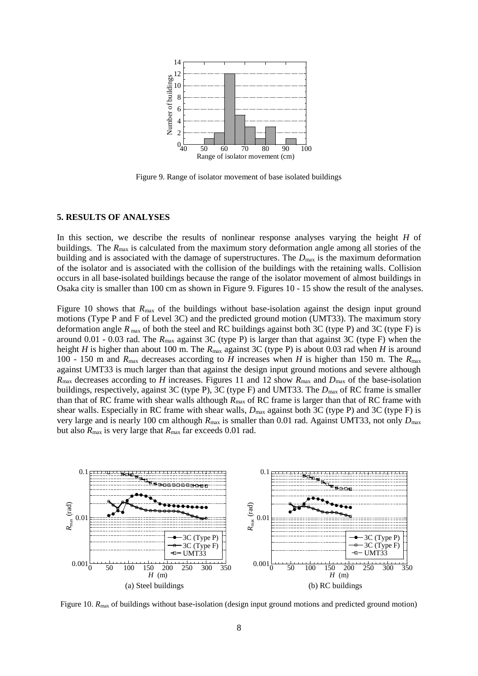

Figure 9. Range of isolator movement of base isolated buildings

#### **5. RESULTS OF ANALYSES**

In this section, we describe the results of nonlinear response analyses varying the height *H* of buildings. The  $R_{\text{max}}$  is calculated from the maximum story deformation angle among all stories of the building and is associated with the damage of superstructures. The  $D_{\text{max}}$  is the maximum deformation of the isolator and is associated with the collision of the buildings with the retaining walls. Collision occurs in all base-isolated buildings because the range of the isolator movement of almost buildings in Osaka city is smaller than 100 cm as shown in Figure 9. Figures 10 - 15 show the result of the analyses.

Figure 10 shows that  $R_{\text{max}}$  of the buildings without base-isolation against the design input ground motions (Type P and F of Level 3C) and the predicted ground motion (UMT33). The maximum story deformation angle  $R_{\text{max}}$  of both the steel and RC buildings against both 3C (type P) and 3C (type F) is around 0.01 - 0.03 rad. The *R*max against 3C (type P) is larger than that against 3C (type F) when the height *H* is higher than about 100 m. The *R*<sub>max</sub> against 3C (type P) is about 0.03 rad when *H* is around 100 - 150 m and *R*max decreases according to *H* increases when *H* is higher than 150 m. The *R*max against UMT33 is much larger than that against the design input ground motions and severe although  $R_{\text{max}}$  decreases according to *H* increases. Figures 11 and 12 show  $R_{\text{max}}$  and  $D_{\text{max}}$  of the base-isolation buildings, respectively, against 3C (type P), 3C (type F) and UMT33. The  $D_{\text{max}}$  of RC frame is smaller than that of RC frame with shear walls although  $R_{\text{max}}$  of RC frame is larger than that of RC frame with shear walls. Especially in RC frame with shear walls,  $D_{\text{max}}$  against both 3C (type P) and 3C (type F) is very large and is nearly 100 cm although *R*max is smaller than 0.01 rad. Against UMT33, not only *D*max but also  $R_{\text{max}}$  is very large that  $R_{\text{max}}$  far exceeds 0.01 rad.



Figure 10. *R*<sub>max</sub> of buildings without base-isolation (design input ground motions and predicted ground motion)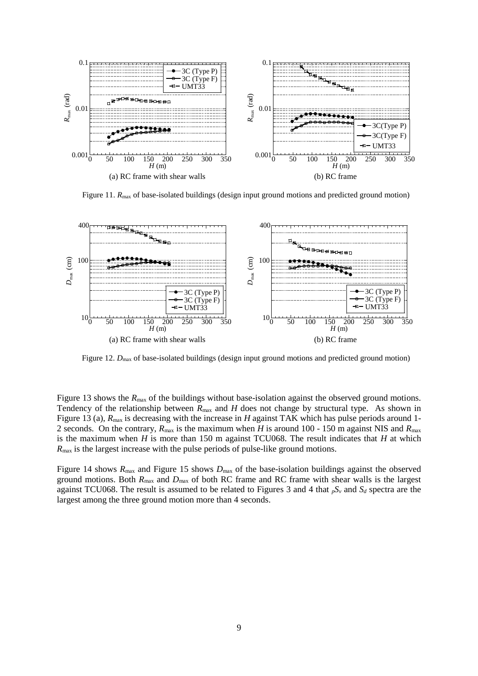

Figure 11.  $R_{\text{max}}$  of base-isolated buildings (design input ground motions and predicted ground motion)



Figure 12.  $D_{\text{max}}$  of base-isolated buildings (design input ground motions and predicted ground motion)

Figure 13 shows the *R*<sub>max</sub> of the buildings without base-isolation against the observed ground motions. Tendency of the relationship between  $R_{\text{max}}$  and *H* does not change by structural type. As shown in Figure 13 (a),  $R_{\text{max}}$  is decreasing with the increase in *H* against TAK which has pulse periods around 1-2 seconds. On the contrary, *R*max is the maximum when *H* is around 100 - 150 m against NIS and *R*max is the maximum when *H* is more than 150 m against TCU068. The result indicates that *H* at which *R*max is the largest increase with the pulse periods of pulse-like ground motions.

Figure 14 shows  $R_{\text{max}}$  and Figure 15 shows  $D_{\text{max}}$  of the base-isolation buildings against the observed ground motions. Both  $R_{\text{max}}$  and  $D_{\text{max}}$  of both RC frame and RC frame with shear walls is the largest against TCU068. The result is assumed to be related to Figures 3 and 4 that *pS<sup>v</sup>* and *S<sup>d</sup>* spectra are the largest among the three ground motion more than 4 seconds.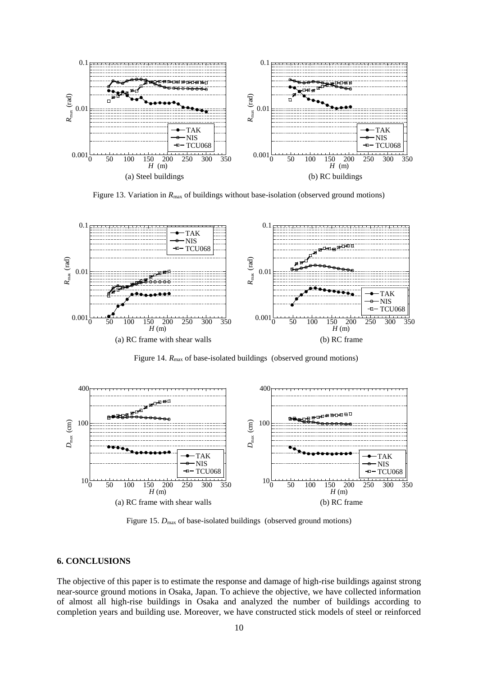

Figure 13. Variation in  $R_{\text{max}}$  of buildings without base-isolation (observed ground motions)



Figure 14.  $R_{\text{max}}$  of base-isolated buildings (observed ground motions)



Figure 15.  $D_{\text{max}}$  of base-isolated buildings (observed ground motions)

#### **6. CONCLUSIONS**

The objective of this paper is to estimate the response and damage of high-rise buildings against strong near-source ground motions in Osaka, Japan. To achieve the objective, we have collected information of almost all high-rise buildings in Osaka and analyzed the number of buildings according to completion years and building use. Moreover, we have constructed stick models of steel or reinforced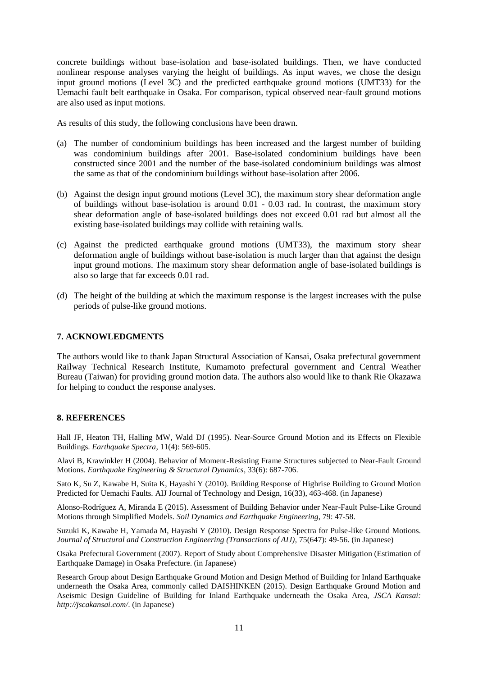concrete buildings without base-isolation and base-isolated buildings. Then, we have conducted nonlinear response analyses varying the height of buildings. As input waves, we chose the design input ground motions (Level 3C) and the predicted earthquake ground motions (UMT33) for the Uemachi fault belt earthquake in Osaka. For comparison, typical observed near-fault ground motions are also used as input motions.

As results of this study, the following conclusions have been drawn.

- (a) The number of condominium buildings has been increased and the largest number of building was condominium buildings after 2001. Base-isolated condominium buildings have been constructed since 2001 and the number of the base-isolated condominium buildings was almost the same as that of the condominium buildings without base-isolation after 2006.
- (b) Against the design input ground motions (Level 3C), the maximum story shear deformation angle of buildings without base-isolation is around 0.01 - 0.03 rad. In contrast, the maximum story shear deformation angle of base-isolated buildings does not exceed 0.01 rad but almost all the existing base-isolated buildings may collide with retaining walls.
- (c) Against the predicted earthquake ground motions (UMT33), the maximum story shear deformation angle of buildings without base-isolation is much larger than that against the design input ground motions. The maximum story shear deformation angle of base-isolated buildings is also so large that far exceeds 0.01 rad.
- (d) The height of the building at which the maximum response is the largest increases with the pulse periods of pulse-like ground motions.

## **7. ACKNOWLEDGMENTS**

The authors would like to thank Japan Structural Association of Kansai, Osaka prefectural government Railway Technical Research Institute, Kumamoto prefectural government and Central Weather Bureau (Taiwan) for providing ground motion data. The authors also would like to thank Rie Okazawa for helping to conduct the response analyses.

#### **8. REFERENCES**

Hall JF, Heaton TH, Halling MW, Wald DJ (1995). Near-Source Ground Motion and its Effects on Flexible Buildings. *Earthquake Spectra*, 11(4): 569-605.

Alavi B, Krawinkler H (2004). Behavior of Moment-Resisting Frame Structures subjected to Near-Fault Ground Motions. *Earthquake Engineering & Structural Dynamics*, 33(6): 687-706.

Sato K, Su Z, Kawabe H, Suita K, Hayashi Y (2010). Building Response of Highrise Building to Ground Motion Predicted for Uemachi Faults. AIJ Journal of Technology and Design, 16(33), 463-468. (in Japanese)

Alonso-Rodríguez A, Miranda E (2015). Assessment of Building Behavior under Near-Fault Pulse-Like Ground Motions through Simplified Models. *Soil Dynamics and Earthquake Engineering*, 79: 47-58.

Suzuki K, Kawabe H, Yamada M, Hayashi Y (2010). Design Response Spectra for Pulse-like Ground Motions. *Journal of Structural and Construction Engineering (Transactions of AIJ)*, 75(647): 49-56. (in Japanese)

Osaka Prefectural Government (2007). Report of Study about Comprehensive Disaster Mitigation (Estimation of Earthquake Damage) in Osaka Prefecture. (in Japanese)

Research Group about Design Earthquake Ground Motion and Design Method of Building for Inland Earthquake underneath the Osaka Area, commonly called DAISHINKEN (2015). Design Earthquake Ground Motion and Aseismic Design Guideline of Building for Inland Earthquake underneath the Osaka Area, *JSCA Kansai: http://jscakansai.com/*. (in Japanese)